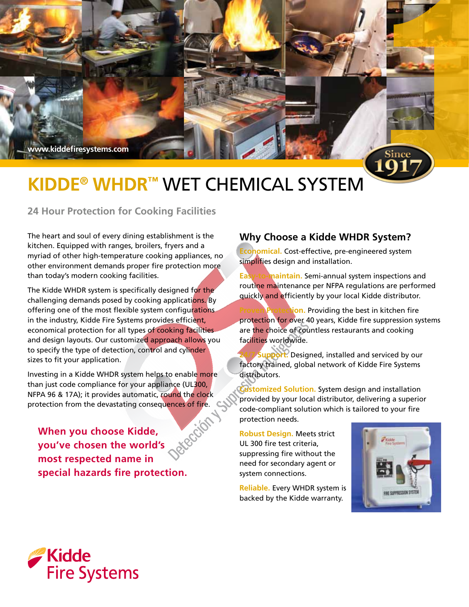**www.kiddefiresystems.com**

# **Kidde® WHDR™** Wet Chemical System

**24 Hour Protection for Cooking Facilities** 

The heart and soul of every dining establishment is the kitchen. Equipped with ranges, broilers, fryers and a myriad of other high-temperature cooking appliances, no other environment demands proper fire protection more than today's modern cooking facilities.

The Kidde WHDR system is specifically designed for the challenging demands posed by cooking applications. By offering one of the most flexible system configurations in the industry, Kidde Fire Systems provides efficient, economical protection for all types of cooking facilities and design layouts. Our customized approach allows you to specify the type of detection, control and cylinder sizes to fit your application.

Investing in a Kidde WHDR system helps to enable more than just code compliance for your appliance (UL300, NFPA 96 & 17A); it provides automatic, round the clock

protection from the devastating consequences of fire.<br>
When you choose Kidde. **When you choose Kidde, you've chosen the world's most respected name in special hazards fire protection.**

## **Why Choose a Kidde WHDR System?**

**Economical.** Cost-effective, pre-engineered system simplifies design and installation.

**Easy-to-maintain.** Semi-annual system inspections and routine maintenance per NFPA regulations are performed quickly and efficiently by your local Kidde distributor.

ion. Providing the best in kitchen fire protection for over 40 years, Kidde fire suppression systems are the choice of countless restaurants and cooking facilities worldwide.

**Support.** Designed, installed and serviced by our factory trained, global network of Kidde Fire Systems distributors.

**Customized Solution.** System design and installation provided by your local distributor, delivering a superior code-compliant solution which is tailored to your fire protection needs.

**Robust Design.** Meets strict UL 300 fire test criteria, suppressing fire without the need for secondary agent or system connections.

**Reliable.** Every WHDR system is backed by the Kidde warranty.



Since